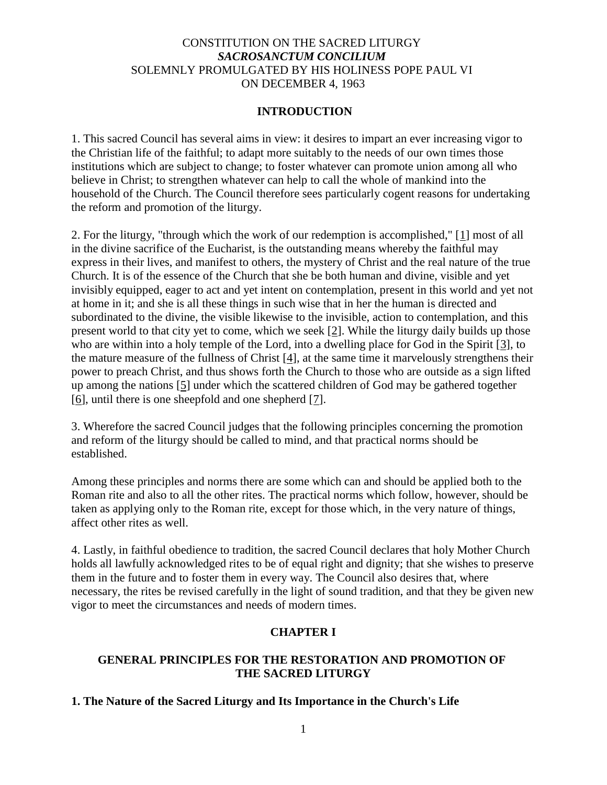#### CONSTITUTION ON THE SACRED LITURGY *SACROSANCTUM CONCILIUM* SOLEMNLY PROMULGATED BY HIS HOLINESS POPE PAUL VI ON DECEMBER 4, 1963

#### **INTRODUCTION**

1. This sacred Council has several aims in view: it desires to impart an ever increasing vigor to the Christian life of the faithful; to adapt more suitably to the needs of our own times those institutions which are subject to change; to foster whatever can promote union among all who believe in Christ; to strengthen whatever can help to call the whole of mankind into the household of the Church. The Council therefore sees particularly cogent reasons for undertaking the reform and promotion of the liturgy.

2. For the liturgy, "through which the work of our redemption is accomplished," [\[1\]](http://www.vatican.va/archive/hist_councils/ii_vatican_council/documents/vat-ii_const_19631204_sacrosanctum-concilium_en.html#_ftn1) most of all in the divine sacrifice of the Eucharist, is the outstanding means whereby the faithful may express in their lives, and manifest to others, the mystery of Christ and the real nature of the true Church. It is of the essence of the Church that she be both human and divine, visible and yet invisibly equipped, eager to act and yet intent on contemplation, present in this world and yet not at home in it; and she is all these things in such wise that in her the human is directed and subordinated to the divine, the visible likewise to the invisible, action to contemplation, and this present world to that city yet to come, which we seek [\[2\]](http://www.vatican.va/archive/hist_councils/ii_vatican_council/documents/vat-ii_const_19631204_sacrosanctum-concilium_en.html#_ftn2). While the liturgy daily builds up those who are within into a holy temple of the Lord, into a dwelling place for God in the Spirit [\[3\]](http://www.vatican.va/archive/hist_councils/ii_vatican_council/documents/vat-ii_const_19631204_sacrosanctum-concilium_en.html#_ftn3), to the mature measure of the fullness of Christ [\[4\]](http://www.vatican.va/archive/hist_councils/ii_vatican_council/documents/vat-ii_const_19631204_sacrosanctum-concilium_en.html#_ftn4), at the same time it marvelously strengthens their power to preach Christ, and thus shows forth the Church to those who are outside as a sign lifted up among the nations [\[5\]](http://www.vatican.va/archive/hist_councils/ii_vatican_council/documents/vat-ii_const_19631204_sacrosanctum-concilium_en.html#_ftn5) under which the scattered children of God may be gathered together [\[6\]](http://www.vatican.va/archive/hist_councils/ii_vatican_council/documents/vat-ii_const_19631204_sacrosanctum-concilium_en.html#_ftn6), until there is one sheepfold and one shepherd [\[7\]](http://www.vatican.va/archive/hist_councils/ii_vatican_council/documents/vat-ii_const_19631204_sacrosanctum-concilium_en.html#_ftn7).

3. Wherefore the sacred Council judges that the following principles concerning the promotion and reform of the liturgy should be called to mind, and that practical norms should be established.

Among these principles and norms there are some which can and should be applied both to the Roman rite and also to all the other rites. The practical norms which follow, however, should be taken as applying only to the Roman rite, except for those which, in the very nature of things, affect other rites as well.

4. Lastly, in faithful obedience to tradition, the sacred Council declares that holy Mother Church holds all lawfully acknowledged rites to be of equal right and dignity; that she wishes to preserve them in the future and to foster them in every way. The Council also desires that, where necessary, the rites be revised carefully in the light of sound tradition, and that they be given new vigor to meet the circumstances and needs of modern times.

#### **CHAPTER I**

#### **GENERAL PRINCIPLES FOR THE RESTORATION AND PROMOTION OF THE SACRED LITURGY**

#### **1. The Nature of the Sacred Liturgy and Its Importance in the Church's Life**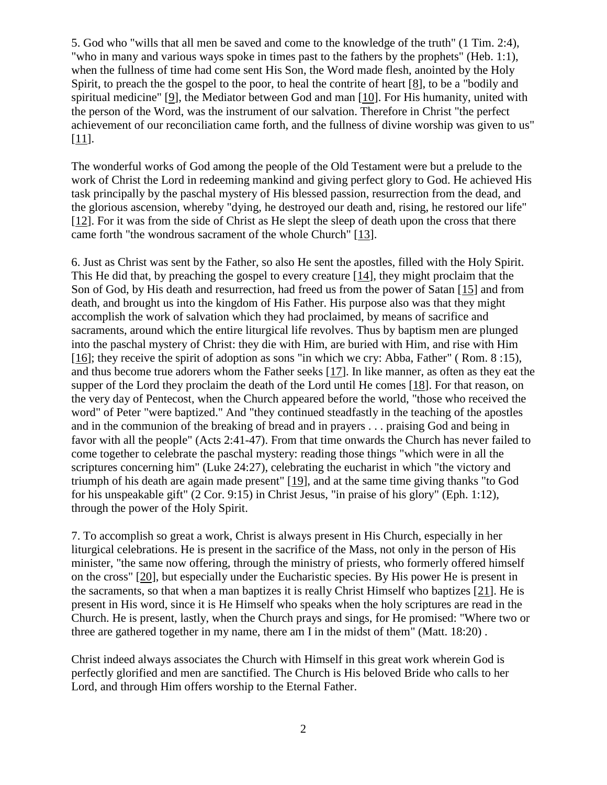5. God who "wills that all men be saved and come to the knowledge of the truth" (1 Tim. 2:4), "who in many and various ways spoke in times past to the fathers by the prophets" (Heb. 1:1), when the fullness of time had come sent His Son, the Word made flesh, anointed by the Holy Spirit, to preach the the gospel to the poor, to heal the contrite of heart [\[8\]](http://www.vatican.va/archive/hist_councils/ii_vatican_council/documents/vat-ii_const_19631204_sacrosanctum-concilium_en.html#_ftn8), to be a "bodily and spiritual medicine" [\[9\]](http://www.vatican.va/archive/hist_councils/ii_vatican_council/documents/vat-ii_const_19631204_sacrosanctum-concilium_en.html#_ftn9), the Mediator between God and man [\[10\]](http://www.vatican.va/archive/hist_councils/ii_vatican_council/documents/vat-ii_const_19631204_sacrosanctum-concilium_en.html#_ftn10). For His humanity, united with the person of the Word, was the instrument of our salvation. Therefore in Christ "the perfect achievement of our reconciliation came forth, and the fullness of divine worship was given to us" [\[11\]](http://www.vatican.va/archive/hist_councils/ii_vatican_council/documents/vat-ii_const_19631204_sacrosanctum-concilium_en.html#_ftn11).

The wonderful works of God among the people of the Old Testament were but a prelude to the work of Christ the Lord in redeeming mankind and giving perfect glory to God. He achieved His task principally by the paschal mystery of His blessed passion, resurrection from the dead, and the glorious ascension, whereby "dying, he destroyed our death and, rising, he restored our life" [\[12\]](http://www.vatican.va/archive/hist_councils/ii_vatican_council/documents/vat-ii_const_19631204_sacrosanctum-concilium_en.html#_ftn12). For it was from the side of Christ as He slept the sleep of death upon the cross that there came forth "the wondrous sacrament of the whole Church" [\[13\]](http://www.vatican.va/archive/hist_councils/ii_vatican_council/documents/vat-ii_const_19631204_sacrosanctum-concilium_en.html#_ftn13).

6. Just as Christ was sent by the Father, so also He sent the apostles, filled with the Holy Spirit. This He did that, by preaching the gospel to every creature [\[14\]](http://www.vatican.va/archive/hist_councils/ii_vatican_council/documents/vat-ii_const_19631204_sacrosanctum-concilium_en.html#_ftn14), they might proclaim that the Son of God, by His death and resurrection, had freed us from the power of Satan [\[15\]](http://www.vatican.va/archive/hist_councils/ii_vatican_council/documents/vat-ii_const_19631204_sacrosanctum-concilium_en.html#_ftn15) and from death, and brought us into the kingdom of His Father. His purpose also was that they might accomplish the work of salvation which they had proclaimed, by means of sacrifice and sacraments, around which the entire liturgical life revolves. Thus by baptism men are plunged into the paschal mystery of Christ: they die with Him, are buried with Him, and rise with Him [\[16\]](http://www.vatican.va/archive/hist_councils/ii_vatican_council/documents/vat-ii_const_19631204_sacrosanctum-concilium_en.html#_ftn16); they receive the spirit of adoption as sons "in which we cry: Abba, Father" ( Rom. 8 :15), and thus become true adorers whom the Father seeks [\[17\]](http://www.vatican.va/archive/hist_councils/ii_vatican_council/documents/vat-ii_const_19631204_sacrosanctum-concilium_en.html#_ftn17). In like manner, as often as they eat the supper of the Lord they proclaim the death of the Lord until He comes [\[18\]](http://www.vatican.va/archive/hist_councils/ii_vatican_council/documents/vat-ii_const_19631204_sacrosanctum-concilium_en.html#_ftn18). For that reason, on the very day of Pentecost, when the Church appeared before the world, "those who received the word" of Peter "were baptized." And "they continued steadfastly in the teaching of the apostles and in the communion of the breaking of bread and in prayers . . . praising God and being in favor with all the people" (Acts 2:41-47). From that time onwards the Church has never failed to come together to celebrate the paschal mystery: reading those things "which were in all the scriptures concerning him" (Luke 24:27), celebrating the eucharist in which "the victory and triumph of his death are again made present" [\[19\]](http://www.vatican.va/archive/hist_councils/ii_vatican_council/documents/vat-ii_const_19631204_sacrosanctum-concilium_en.html#_ftn19), and at the same time giving thanks "to God for his unspeakable gift" (2 Cor. 9:15) in Christ Jesus, "in praise of his glory" (Eph. 1:12), through the power of the Holy Spirit.

7. To accomplish so great a work, Christ is always present in His Church, especially in her liturgical celebrations. He is present in the sacrifice of the Mass, not only in the person of His minister, "the same now offering, through the ministry of priests, who formerly offered himself on the cross" [\[20\]](http://www.vatican.va/archive/hist_councils/ii_vatican_council/documents/vat-ii_const_19631204_sacrosanctum-concilium_en.html#_ftn20), but especially under the Eucharistic species. By His power He is present in the sacraments, so that when a man baptizes it is really Christ Himself who baptizes [\[21\]](http://www.vatican.va/archive/hist_councils/ii_vatican_council/documents/vat-ii_const_19631204_sacrosanctum-concilium_en.html#_ftn21). He is present in His word, since it is He Himself who speaks when the holy scriptures are read in the Church. He is present, lastly, when the Church prays and sings, for He promised: "Where two or three are gathered together in my name, there am I in the midst of them" (Matt. 18:20) .

Christ indeed always associates the Church with Himself in this great work wherein God is perfectly glorified and men are sanctified. The Church is His beloved Bride who calls to her Lord, and through Him offers worship to the Eternal Father.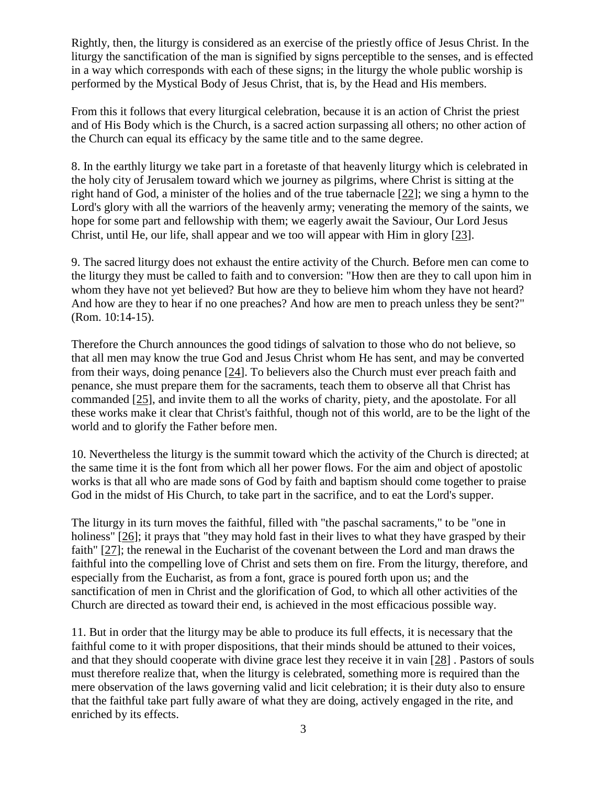Rightly, then, the liturgy is considered as an exercise of the priestly office of Jesus Christ. In the liturgy the sanctification of the man is signified by signs perceptible to the senses, and is effected in a way which corresponds with each of these signs; in the liturgy the whole public worship is performed by the Mystical Body of Jesus Christ, that is, by the Head and His members.

From this it follows that every liturgical celebration, because it is an action of Christ the priest and of His Body which is the Church, is a sacred action surpassing all others; no other action of the Church can equal its efficacy by the same title and to the same degree.

8. In the earthly liturgy we take part in a foretaste of that heavenly liturgy which is celebrated in the holy city of Jerusalem toward which we journey as pilgrims, where Christ is sitting at the right hand of God, a minister of the holies and of the true tabernacle [\[22\]](http://www.vatican.va/archive/hist_councils/ii_vatican_council/documents/vat-ii_const_19631204_sacrosanctum-concilium_en.html#_ftn22); we sing a hymn to the Lord's glory with all the warriors of the heavenly army; venerating the memory of the saints, we hope for some part and fellowship with them; we eagerly await the Saviour, Our Lord Jesus Christ, until He, our life, shall appear and we too will appear with Him in glory [\[23\]](http://www.vatican.va/archive/hist_councils/ii_vatican_council/documents/vat-ii_const_19631204_sacrosanctum-concilium_en.html#_ftn23).

9. The sacred liturgy does not exhaust the entire activity of the Church. Before men can come to the liturgy they must be called to faith and to conversion: "How then are they to call upon him in whom they have not yet believed? But how are they to believe him whom they have not heard? And how are they to hear if no one preaches? And how are men to preach unless they be sent?" (Rom. 10:14-15).

Therefore the Church announces the good tidings of salvation to those who do not believe, so that all men may know the true God and Jesus Christ whom He has sent, and may be converted from their ways, doing penance [\[24\]](http://www.vatican.va/archive/hist_councils/ii_vatican_council/documents/vat-ii_const_19631204_sacrosanctum-concilium_en.html#_ftn24). To believers also the Church must ever preach faith and penance, she must prepare them for the sacraments, teach them to observe all that Christ has commanded [\[25\]](http://www.vatican.va/archive/hist_councils/ii_vatican_council/documents/vat-ii_const_19631204_sacrosanctum-concilium_en.html#_ftn25), and invite them to all the works of charity, piety, and the apostolate. For all these works make it clear that Christ's faithful, though not of this world, are to be the light of the world and to glorify the Father before men.

10. Nevertheless the liturgy is the summit toward which the activity of the Church is directed; at the same time it is the font from which all her power flows. For the aim and object of apostolic works is that all who are made sons of God by faith and baptism should come together to praise God in the midst of His Church, to take part in the sacrifice, and to eat the Lord's supper.

The liturgy in its turn moves the faithful, filled with "the paschal sacraments," to be "one in holiness" [\[26\]](http://www.vatican.va/archive/hist_councils/ii_vatican_council/documents/vat-ii_const_19631204_sacrosanctum-concilium_en.html#_ftn26); it prays that "they may hold fast in their lives to what they have grasped by their faith" [\[27\]](http://www.vatican.va/archive/hist_councils/ii_vatican_council/documents/vat-ii_const_19631204_sacrosanctum-concilium_en.html#_ftn27); the renewal in the Eucharist of the covenant between the Lord and man draws the faithful into the compelling love of Christ and sets them on fire. From the liturgy, therefore, and especially from the Eucharist, as from a font, grace is poured forth upon us; and the sanctification of men in Christ and the glorification of God, to which all other activities of the Church are directed as toward their end, is achieved in the most efficacious possible way.

11. But in order that the liturgy may be able to produce its full effects, it is necessary that the faithful come to it with proper dispositions, that their minds should be attuned to their voices, and that they should cooperate with divine grace lest they receive it in vain [\[28\]](http://www.vatican.va/archive/hist_councils/ii_vatican_council/documents/vat-ii_const_19631204_sacrosanctum-concilium_en.html#_ftn28) . Pastors of souls must therefore realize that, when the liturgy is celebrated, something more is required than the mere observation of the laws governing valid and licit celebration; it is their duty also to ensure that the faithful take part fully aware of what they are doing, actively engaged in the rite, and enriched by its effects.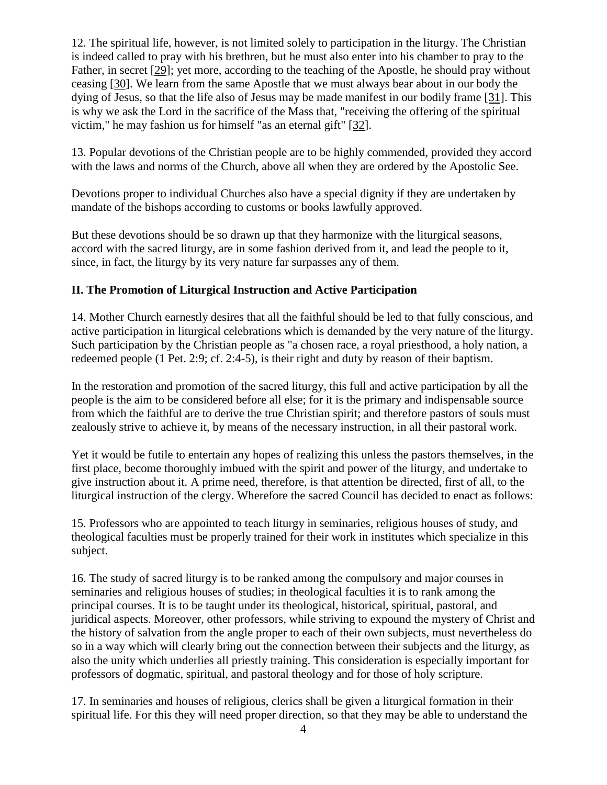12. The spiritual life, however, is not limited solely to participation in the liturgy. The Christian is indeed called to pray with his brethren, but he must also enter into his chamber to pray to the Father, in secret [\[29\]](http://www.vatican.va/archive/hist_councils/ii_vatican_council/documents/vat-ii_const_19631204_sacrosanctum-concilium_en.html#_ftn29); yet more, according to the teaching of the Apostle, he should pray without ceasing [\[30\]](http://www.vatican.va/archive/hist_councils/ii_vatican_council/documents/vat-ii_const_19631204_sacrosanctum-concilium_en.html#_ftn30). We learn from the same Apostle that we must always bear about in our body the dying of Jesus, so that the life also of Jesus may be made manifest in our bodily frame [\[31\]](http://www.vatican.va/archive/hist_councils/ii_vatican_council/documents/vat-ii_const_19631204_sacrosanctum-concilium_en.html#_ftn31). This is why we ask the Lord in the sacrifice of the Mass that, "receiving the offering of the spiritual victim," he may fashion us for himself "as an eternal gift" [\[32\]](http://www.vatican.va/archive/hist_councils/ii_vatican_council/documents/vat-ii_const_19631204_sacrosanctum-concilium_en.html#_ftn32).

13. Popular devotions of the Christian people are to be highly commended, provided they accord with the laws and norms of the Church, above all when they are ordered by the Apostolic See.

Devotions proper to individual Churches also have a special dignity if they are undertaken by mandate of the bishops according to customs or books lawfully approved.

But these devotions should be so drawn up that they harmonize with the liturgical seasons, accord with the sacred liturgy, are in some fashion derived from it, and lead the people to it, since, in fact, the liturgy by its very nature far surpasses any of them.

## **II. The Promotion of Liturgical Instruction and Active Participation**

14. Mother Church earnestly desires that all the faithful should be led to that fully conscious, and active participation in liturgical celebrations which is demanded by the very nature of the liturgy. Such participation by the Christian people as "a chosen race, a royal priesthood, a holy nation, a redeemed people (1 Pet. 2:9; cf. 2:4-5), is their right and duty by reason of their baptism.

In the restoration and promotion of the sacred liturgy, this full and active participation by all the people is the aim to be considered before all else; for it is the primary and indispensable source from which the faithful are to derive the true Christian spirit; and therefore pastors of souls must zealously strive to achieve it, by means of the necessary instruction, in all their pastoral work.

Yet it would be futile to entertain any hopes of realizing this unless the pastors themselves, in the first place, become thoroughly imbued with the spirit and power of the liturgy, and undertake to give instruction about it. A prime need, therefore, is that attention be directed, first of all, to the liturgical instruction of the clergy. Wherefore the sacred Council has decided to enact as follows:

15. Professors who are appointed to teach liturgy in seminaries, religious houses of study, and theological faculties must be properly trained for their work in institutes which specialize in this subject.

16. The study of sacred liturgy is to be ranked among the compulsory and major courses in seminaries and religious houses of studies; in theological faculties it is to rank among the principal courses. It is to be taught under its theological, historical, spiritual, pastoral, and juridical aspects. Moreover, other professors, while striving to expound the mystery of Christ and the history of salvation from the angle proper to each of their own subjects, must nevertheless do so in a way which will clearly bring out the connection between their subjects and the liturgy, as also the unity which underlies all priestly training. This consideration is especially important for professors of dogmatic, spiritual, and pastoral theology and for those of holy scripture.

17. In seminaries and houses of religious, clerics shall be given a liturgical formation in their spiritual life. For this they will need proper direction, so that they may be able to understand the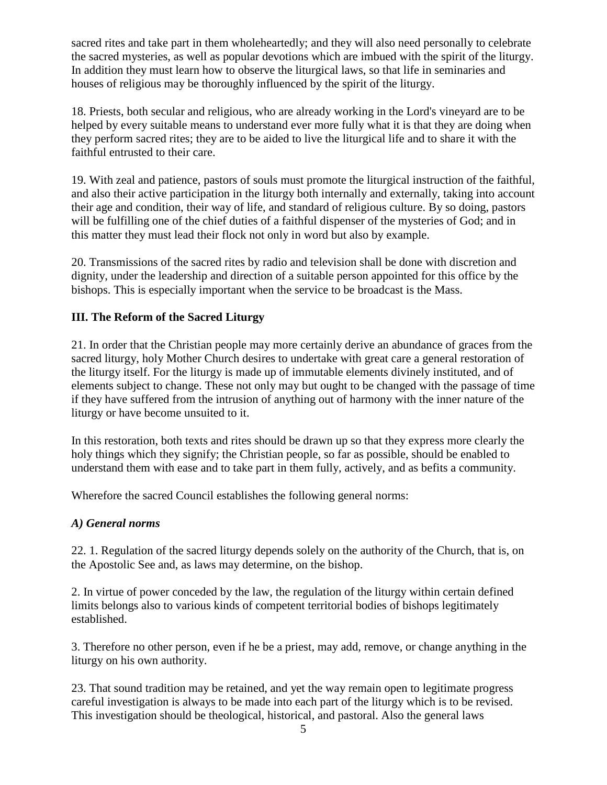sacred rites and take part in them wholeheartedly; and they will also need personally to celebrate the sacred mysteries, as well as popular devotions which are imbued with the spirit of the liturgy. In addition they must learn how to observe the liturgical laws, so that life in seminaries and houses of religious may be thoroughly influenced by the spirit of the liturgy.

18. Priests, both secular and religious, who are already working in the Lord's vineyard are to be helped by every suitable means to understand ever more fully what it is that they are doing when they perform sacred rites; they are to be aided to live the liturgical life and to share it with the faithful entrusted to their care.

19. With zeal and patience, pastors of souls must promote the liturgical instruction of the faithful, and also their active participation in the liturgy both internally and externally, taking into account their age and condition, their way of life, and standard of religious culture. By so doing, pastors will be fulfilling one of the chief duties of a faithful dispenser of the mysteries of God; and in this matter they must lead their flock not only in word but also by example.

20. Transmissions of the sacred rites by radio and television shall be done with discretion and dignity, under the leadership and direction of a suitable person appointed for this office by the bishops. This is especially important when the service to be broadcast is the Mass.

## **III. The Reform of the Sacred Liturgy**

21. In order that the Christian people may more certainly derive an abundance of graces from the sacred liturgy, holy Mother Church desires to undertake with great care a general restoration of the liturgy itself. For the liturgy is made up of immutable elements divinely instituted, and of elements subject to change. These not only may but ought to be changed with the passage of time if they have suffered from the intrusion of anything out of harmony with the inner nature of the liturgy or have become unsuited to it.

In this restoration, both texts and rites should be drawn up so that they express more clearly the holy things which they signify; the Christian people, so far as possible, should be enabled to understand them with ease and to take part in them fully, actively, and as befits a community.

Wherefore the sacred Council establishes the following general norms:

#### *A) General norms*

22. 1. Regulation of the sacred liturgy depends solely on the authority of the Church, that is, on the Apostolic See and, as laws may determine, on the bishop.

2. In virtue of power conceded by the law, the regulation of the liturgy within certain defined limits belongs also to various kinds of competent territorial bodies of bishops legitimately established.

3. Therefore no other person, even if he be a priest, may add, remove, or change anything in the liturgy on his own authority.

23. That sound tradition may be retained, and yet the way remain open to legitimate progress careful investigation is always to be made into each part of the liturgy which is to be revised. This investigation should be theological, historical, and pastoral. Also the general laws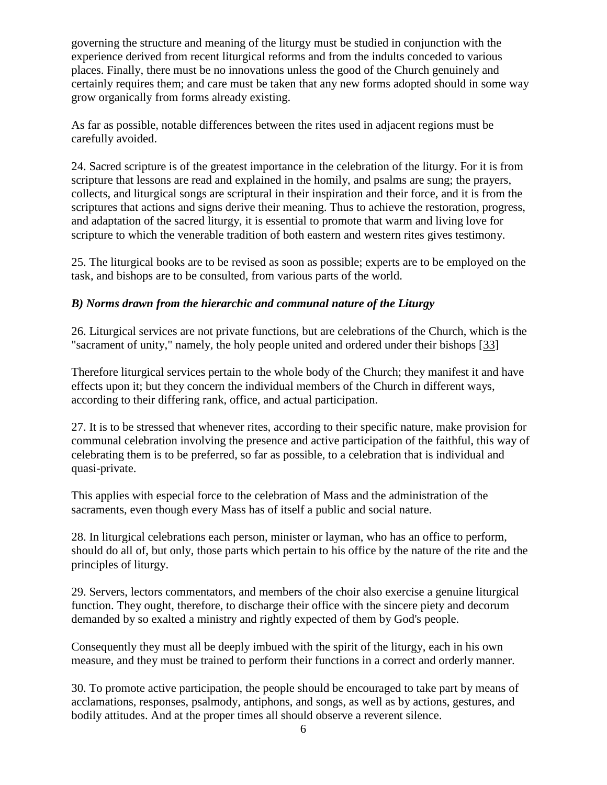governing the structure and meaning of the liturgy must be studied in conjunction with the experience derived from recent liturgical reforms and from the indults conceded to various places. Finally, there must be no innovations unless the good of the Church genuinely and certainly requires them; and care must be taken that any new forms adopted should in some way grow organically from forms already existing.

As far as possible, notable differences between the rites used in adjacent regions must be carefully avoided.

24. Sacred scripture is of the greatest importance in the celebration of the liturgy. For it is from scripture that lessons are read and explained in the homily, and psalms are sung; the prayers, collects, and liturgical songs are scriptural in their inspiration and their force, and it is from the scriptures that actions and signs derive their meaning. Thus to achieve the restoration, progress, and adaptation of the sacred liturgy, it is essential to promote that warm and living love for scripture to which the venerable tradition of both eastern and western rites gives testimony.

25. The liturgical books are to be revised as soon as possible; experts are to be employed on the task, and bishops are to be consulted, from various parts of the world.

## *B) Norms drawn from the hierarchic and communal nature of the Liturgy*

26. Liturgical services are not private functions, but are celebrations of the Church, which is the "sacrament of unity," namely, the holy people united and ordered under their bishops [\[33\]](http://www.vatican.va/archive/hist_councils/ii_vatican_council/documents/vat-ii_const_19631204_sacrosanctum-concilium_en.html#_ftn33)

Therefore liturgical services pertain to the whole body of the Church; they manifest it and have effects upon it; but they concern the individual members of the Church in different ways, according to their differing rank, office, and actual participation.

27. It is to be stressed that whenever rites, according to their specific nature, make provision for communal celebration involving the presence and active participation of the faithful, this way of celebrating them is to be preferred, so far as possible, to a celebration that is individual and quasi-private.

This applies with especial force to the celebration of Mass and the administration of the sacraments, even though every Mass has of itself a public and social nature.

28. In liturgical celebrations each person, minister or layman, who has an office to perform, should do all of, but only, those parts which pertain to his office by the nature of the rite and the principles of liturgy.

29. Servers, lectors commentators, and members of the choir also exercise a genuine liturgical function. They ought, therefore, to discharge their office with the sincere piety and decorum demanded by so exalted a ministry and rightly expected of them by God's people.

Consequently they must all be deeply imbued with the spirit of the liturgy, each in his own measure, and they must be trained to perform their functions in a correct and orderly manner.

30. To promote active participation, the people should be encouraged to take part by means of acclamations, responses, psalmody, antiphons, and songs, as well as by actions, gestures, and bodily attitudes. And at the proper times all should observe a reverent silence.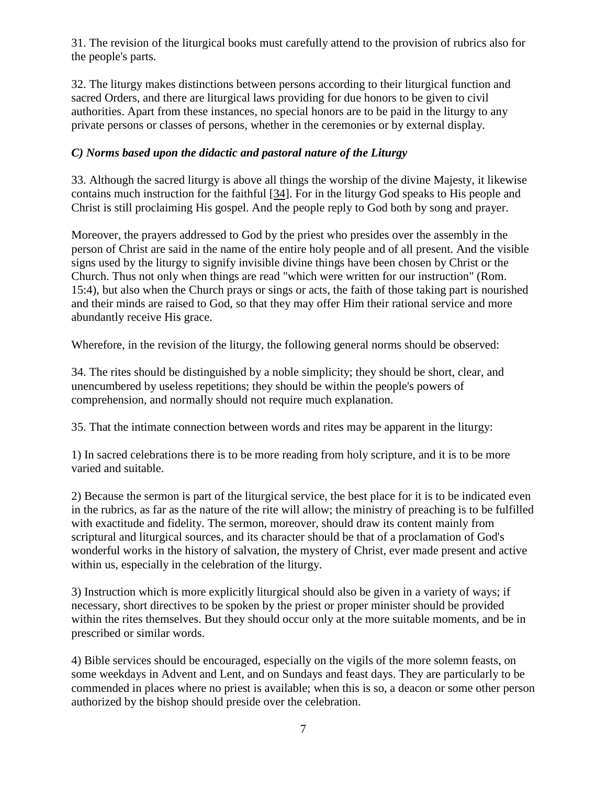31. The revision of the liturgical books must carefully attend to the provision of rubrics also for the people's parts.

32. The liturgy makes distinctions between persons according to their liturgical function and sacred Orders, and there are liturgical laws providing for due honors to be given to civil authorities. Apart from these instances, no special honors are to be paid in the liturgy to any private persons or classes of persons, whether in the ceremonies or by external display.

#### *C) Norms based upon the didactic and pastoral nature of the Liturgy*

33. Although the sacred liturgy is above all things the worship of the divine Majesty, it likewise contains much instruction for the faithful [\[34\]](http://www.vatican.va/archive/hist_councils/ii_vatican_council/documents/vat-ii_const_19631204_sacrosanctum-concilium_en.html#_ftn34). For in the liturgy God speaks to His people and Christ is still proclaiming His gospel. And the people reply to God both by song and prayer.

Moreover, the prayers addressed to God by the priest who presides over the assembly in the person of Christ are said in the name of the entire holy people and of all present. And the visible signs used by the liturgy to signify invisible divine things have been chosen by Christ or the Church. Thus not only when things are read "which were written for our instruction" (Rom. 15:4), but also when the Church prays or sings or acts, the faith of those taking part is nourished and their minds are raised to God, so that they may offer Him their rational service and more abundantly receive His grace.

Wherefore, in the revision of the liturgy, the following general norms should be observed:

34. The rites should be distinguished by a noble simplicity; they should be short, clear, and unencumbered by useless repetitions; they should be within the people's powers of comprehension, and normally should not require much explanation.

35. That the intimate connection between words and rites may be apparent in the liturgy:

1) In sacred celebrations there is to be more reading from holy scripture, and it is to be more varied and suitable.

2) Because the sermon is part of the liturgical service, the best place for it is to be indicated even in the rubrics, as far as the nature of the rite will allow; the ministry of preaching is to be fulfilled with exactitude and fidelity. The sermon, moreover, should draw its content mainly from scriptural and liturgical sources, and its character should be that of a proclamation of God's wonderful works in the history of salvation, the mystery of Christ, ever made present and active within us, especially in the celebration of the liturgy.

3) Instruction which is more explicitly liturgical should also be given in a variety of ways; if necessary, short directives to be spoken by the priest or proper minister should be provided within the rites themselves. But they should occur only at the more suitable moments, and be in prescribed or similar words.

4) Bible services should be encouraged, especially on the vigils of the more solemn feasts, on some weekdays in Advent and Lent, and on Sundays and feast days. They are particularly to be commended in places where no priest is available; when this is so, a deacon or some other person authorized by the bishop should preside over the celebration.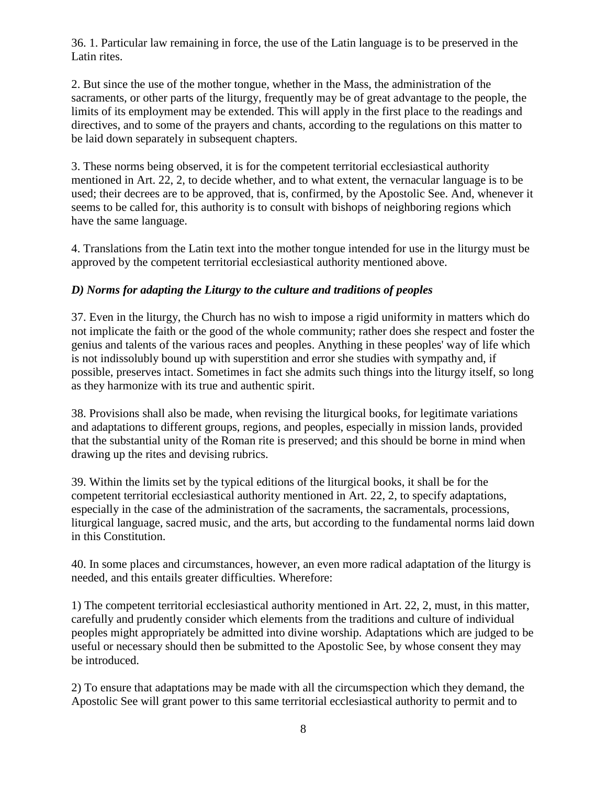36. 1. Particular law remaining in force, the use of the Latin language is to be preserved in the Latin rites.

2. But since the use of the mother tongue, whether in the Mass, the administration of the sacraments, or other parts of the liturgy, frequently may be of great advantage to the people, the limits of its employment may be extended. This will apply in the first place to the readings and directives, and to some of the prayers and chants, according to the regulations on this matter to be laid down separately in subsequent chapters.

3. These norms being observed, it is for the competent territorial ecclesiastical authority mentioned in Art. 22, 2, to decide whether, and to what extent, the vernacular language is to be used; their decrees are to be approved, that is, confirmed, by the Apostolic See. And, whenever it seems to be called for, this authority is to consult with bishops of neighboring regions which have the same language.

4. Translations from the Latin text into the mother tongue intended for use in the liturgy must be approved by the competent territorial ecclesiastical authority mentioned above.

## *D) Norms for adapting the Liturgy to the culture and traditions of peoples*

37. Even in the liturgy, the Church has no wish to impose a rigid uniformity in matters which do not implicate the faith or the good of the whole community; rather does she respect and foster the genius and talents of the various races and peoples. Anything in these peoples' way of life which is not indissolubly bound up with superstition and error she studies with sympathy and, if possible, preserves intact. Sometimes in fact she admits such things into the liturgy itself, so long as they harmonize with its true and authentic spirit.

38. Provisions shall also be made, when revising the liturgical books, for legitimate variations and adaptations to different groups, regions, and peoples, especially in mission lands, provided that the substantial unity of the Roman rite is preserved; and this should be borne in mind when drawing up the rites and devising rubrics.

39. Within the limits set by the typical editions of the liturgical books, it shall be for the competent territorial ecclesiastical authority mentioned in Art. 22, 2, to specify adaptations, especially in the case of the administration of the sacraments, the sacramentals, processions, liturgical language, sacred music, and the arts, but according to the fundamental norms laid down in this Constitution.

40. In some places and circumstances, however, an even more radical adaptation of the liturgy is needed, and this entails greater difficulties. Wherefore:

1) The competent territorial ecclesiastical authority mentioned in Art. 22, 2, must, in this matter, carefully and prudently consider which elements from the traditions and culture of individual peoples might appropriately be admitted into divine worship. Adaptations which are judged to be useful or necessary should then be submitted to the Apostolic See, by whose consent they may be introduced.

2) To ensure that adaptations may be made with all the circumspection which they demand, the Apostolic See will grant power to this same territorial ecclesiastical authority to permit and to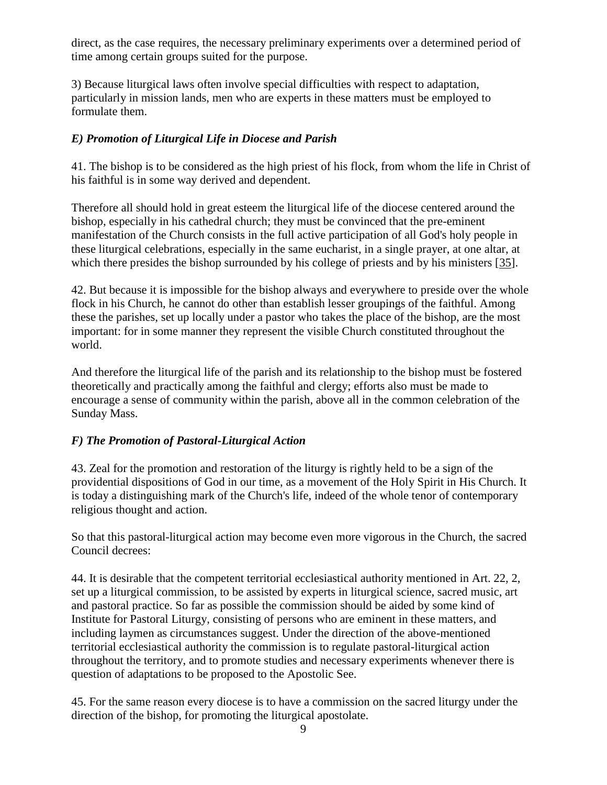direct, as the case requires, the necessary preliminary experiments over a determined period of time among certain groups suited for the purpose.

3) Because liturgical laws often involve special difficulties with respect to adaptation, particularly in mission lands, men who are experts in these matters must be employed to formulate them.

# *E) Promotion of Liturgical Life in Diocese and Parish*

41. The bishop is to be considered as the high priest of his flock, from whom the life in Christ of his faithful is in some way derived and dependent.

Therefore all should hold in great esteem the liturgical life of the diocese centered around the bishop, especially in his cathedral church; they must be convinced that the pre-eminent manifestation of the Church consists in the full active participation of all God's holy people in these liturgical celebrations, especially in the same eucharist, in a single prayer, at one altar, at which there presides the bishop surrounded by his college of priests and by his ministers [\[35\]](http://www.vatican.va/archive/hist_councils/ii_vatican_council/documents/vat-ii_const_19631204_sacrosanctum-concilium_en.html#_ftn35).

42. But because it is impossible for the bishop always and everywhere to preside over the whole flock in his Church, he cannot do other than establish lesser groupings of the faithful. Among these the parishes, set up locally under a pastor who takes the place of the bishop, are the most important: for in some manner they represent the visible Church constituted throughout the world.

And therefore the liturgical life of the parish and its relationship to the bishop must be fostered theoretically and practically among the faithful and clergy; efforts also must be made to encourage a sense of community within the parish, above all in the common celebration of the Sunday Mass.

#### *F) The Promotion of Pastoral-Liturgical Action*

43. Zeal for the promotion and restoration of the liturgy is rightly held to be a sign of the providential dispositions of God in our time, as a movement of the Holy Spirit in His Church. It is today a distinguishing mark of the Church's life, indeed of the whole tenor of contemporary religious thought and action.

So that this pastoral-liturgical action may become even more vigorous in the Church, the sacred Council decrees:

44. It is desirable that the competent territorial ecclesiastical authority mentioned in Art. 22, 2, set up a liturgical commission, to be assisted by experts in liturgical science, sacred music, art and pastoral practice. So far as possible the commission should be aided by some kind of Institute for Pastoral Liturgy, consisting of persons who are eminent in these matters, and including laymen as circumstances suggest. Under the direction of the above-mentioned territorial ecclesiastical authority the commission is to regulate pastoral-liturgical action throughout the territory, and to promote studies and necessary experiments whenever there is question of adaptations to be proposed to the Apostolic See.

45. For the same reason every diocese is to have a commission on the sacred liturgy under the direction of the bishop, for promoting the liturgical apostolate.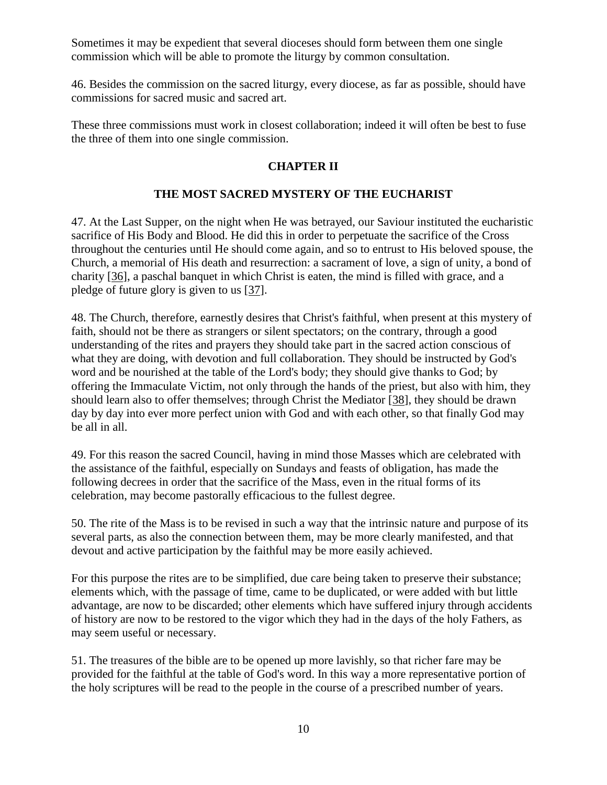Sometimes it may be expedient that several dioceses should form between them one single commission which will be able to promote the liturgy by common consultation.

46. Besides the commission on the sacred liturgy, every diocese, as far as possible, should have commissions for sacred music and sacred art.

These three commissions must work in closest collaboration; indeed it will often be best to fuse the three of them into one single commission.

# **CHAPTER II**

# **THE MOST SACRED MYSTERY OF THE EUCHARIST**

47. At the Last Supper, on the night when He was betrayed, our Saviour instituted the eucharistic sacrifice of His Body and Blood. He did this in order to perpetuate the sacrifice of the Cross throughout the centuries until He should come again, and so to entrust to His beloved spouse, the Church, a memorial of His death and resurrection: a sacrament of love, a sign of unity, a bond of charity [\[36\]](http://www.vatican.va/archive/hist_councils/ii_vatican_council/documents/vat-ii_const_19631204_sacrosanctum-concilium_en.html#_ftn36), a paschal banquet in which Christ is eaten, the mind is filled with grace, and a pledge of future glory is given to us [\[37\]](http://www.vatican.va/archive/hist_councils/ii_vatican_council/documents/vat-ii_const_19631204_sacrosanctum-concilium_en.html#_ftn37).

48. The Church, therefore, earnestly desires that Christ's faithful, when present at this mystery of faith, should not be there as strangers or silent spectators; on the contrary, through a good understanding of the rites and prayers they should take part in the sacred action conscious of what they are doing, with devotion and full collaboration. They should be instructed by God's word and be nourished at the table of the Lord's body; they should give thanks to God; by offering the Immaculate Victim, not only through the hands of the priest, but also with him, they should learn also to offer themselves; through Christ the Mediator [\[38\]](http://www.vatican.va/archive/hist_councils/ii_vatican_council/documents/vat-ii_const_19631204_sacrosanctum-concilium_en.html#_ftn38), they should be drawn day by day into ever more perfect union with God and with each other, so that finally God may be all in all.

49. For this reason the sacred Council, having in mind those Masses which are celebrated with the assistance of the faithful, especially on Sundays and feasts of obligation, has made the following decrees in order that the sacrifice of the Mass, even in the ritual forms of its celebration, may become pastorally efficacious to the fullest degree.

50. The rite of the Mass is to be revised in such a way that the intrinsic nature and purpose of its several parts, as also the connection between them, may be more clearly manifested, and that devout and active participation by the faithful may be more easily achieved.

For this purpose the rites are to be simplified, due care being taken to preserve their substance; elements which, with the passage of time, came to be duplicated, or were added with but little advantage, are now to be discarded; other elements which have suffered injury through accidents of history are now to be restored to the vigor which they had in the days of the holy Fathers, as may seem useful or necessary.

51. The treasures of the bible are to be opened up more lavishly, so that richer fare may be provided for the faithful at the table of God's word. In this way a more representative portion of the holy scriptures will be read to the people in the course of a prescribed number of years.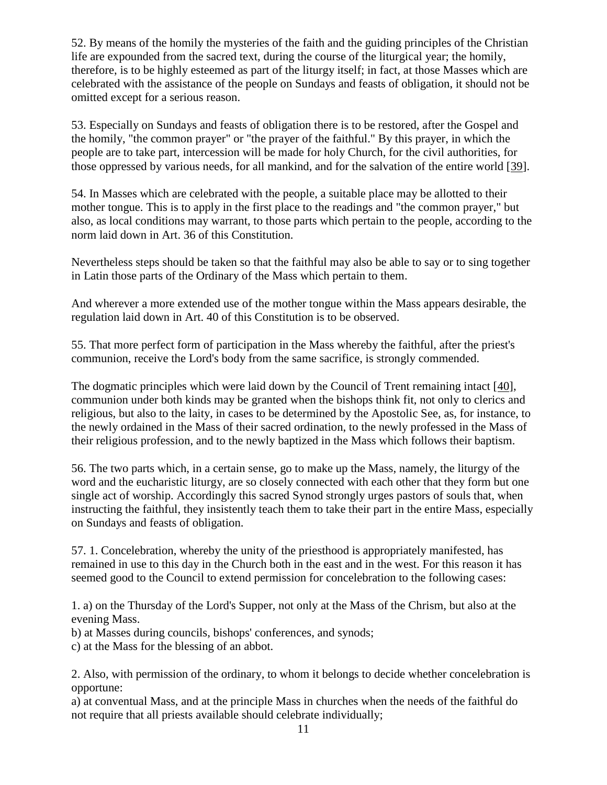52. By means of the homily the mysteries of the faith and the guiding principles of the Christian life are expounded from the sacred text, during the course of the liturgical year; the homily, therefore, is to be highly esteemed as part of the liturgy itself; in fact, at those Masses which are celebrated with the assistance of the people on Sundays and feasts of obligation, it should not be omitted except for a serious reason.

53. Especially on Sundays and feasts of obligation there is to be restored, after the Gospel and the homily, "the common prayer" or "the prayer of the faithful." By this prayer, in which the people are to take part, intercession will be made for holy Church, for the civil authorities, for those oppressed by various needs, for all mankind, and for the salvation of the entire world [\[39\]](http://www.vatican.va/archive/hist_councils/ii_vatican_council/documents/vat-ii_const_19631204_sacrosanctum-concilium_en.html#_ftn39).

54. In Masses which are celebrated with the people, a suitable place may be allotted to their mother tongue. This is to apply in the first place to the readings and "the common prayer," but also, as local conditions may warrant, to those parts which pertain to the people, according to the norm laid down in Art. 36 of this Constitution.

Nevertheless steps should be taken so that the faithful may also be able to say or to sing together in Latin those parts of the Ordinary of the Mass which pertain to them.

And wherever a more extended use of the mother tongue within the Mass appears desirable, the regulation laid down in Art. 40 of this Constitution is to be observed.

55. That more perfect form of participation in the Mass whereby the faithful, after the priest's communion, receive the Lord's body from the same sacrifice, is strongly commended.

The dogmatic principles which were laid down by the Council of Trent remaining intact [\[40\]](http://www.vatican.va/archive/hist_councils/ii_vatican_council/documents/vat-ii_const_19631204_sacrosanctum-concilium_en.html#_ftn40), communion under both kinds may be granted when the bishops think fit, not only to clerics and religious, but also to the laity, in cases to be determined by the Apostolic See, as, for instance, to the newly ordained in the Mass of their sacred ordination, to the newly professed in the Mass of their religious profession, and to the newly baptized in the Mass which follows their baptism.

56. The two parts which, in a certain sense, go to make up the Mass, namely, the liturgy of the word and the eucharistic liturgy, are so closely connected with each other that they form but one single act of worship. Accordingly this sacred Synod strongly urges pastors of souls that, when instructing the faithful, they insistently teach them to take their part in the entire Mass, especially on Sundays and feasts of obligation.

57. 1. Concelebration, whereby the unity of the priesthood is appropriately manifested, has remained in use to this day in the Church both in the east and in the west. For this reason it has seemed good to the Council to extend permission for concelebration to the following cases:

1. a) on the Thursday of the Lord's Supper, not only at the Mass of the Chrism, but also at the evening Mass.

b) at Masses during councils, bishops' conferences, and synods;

c) at the Mass for the blessing of an abbot.

2. Also, with permission of the ordinary, to whom it belongs to decide whether concelebration is opportune:

a) at conventual Mass, and at the principle Mass in churches when the needs of the faithful do not require that all priests available should celebrate individually;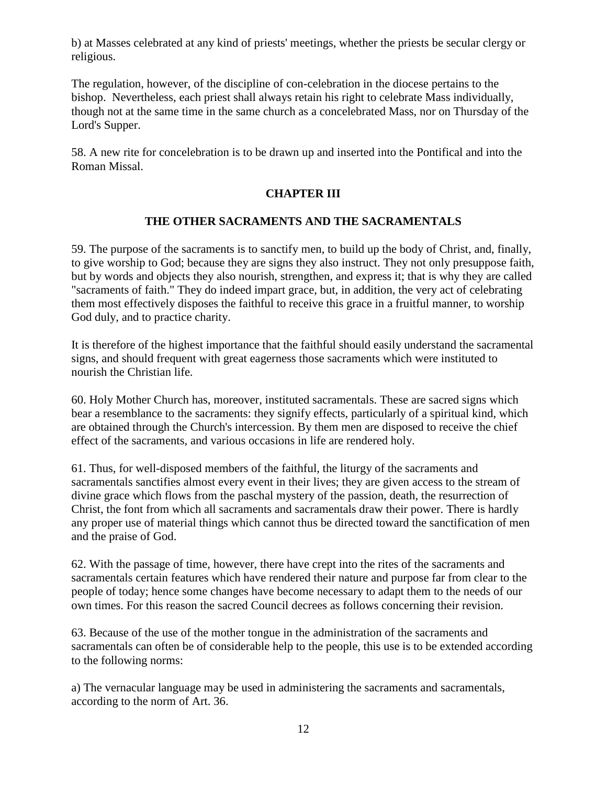b) at Masses celebrated at any kind of priests' meetings, whether the priests be secular clergy or religious.

The regulation, however, of the discipline of con-celebration in the diocese pertains to the bishop. Nevertheless, each priest shall always retain his right to celebrate Mass individually, though not at the same time in the same church as a concelebrated Mass, nor on Thursday of the Lord's Supper.

58. A new rite for concelebration is to be drawn up and inserted into the Pontifical and into the Roman Missal.

#### **CHAPTER III**

## **THE OTHER SACRAMENTS AND THE SACRAMENTALS**

59. The purpose of the sacraments is to sanctify men, to build up the body of Christ, and, finally, to give worship to God; because they are signs they also instruct. They not only presuppose faith, but by words and objects they also nourish, strengthen, and express it; that is why they are called "sacraments of faith." They do indeed impart grace, but, in addition, the very act of celebrating them most effectively disposes the faithful to receive this grace in a fruitful manner, to worship God duly, and to practice charity.

It is therefore of the highest importance that the faithful should easily understand the sacramental signs, and should frequent with great eagerness those sacraments which were instituted to nourish the Christian life.

60. Holy Mother Church has, moreover, instituted sacramentals. These are sacred signs which bear a resemblance to the sacraments: they signify effects, particularly of a spiritual kind, which are obtained through the Church's intercession. By them men are disposed to receive the chief effect of the sacraments, and various occasions in life are rendered holy.

61. Thus, for well-disposed members of the faithful, the liturgy of the sacraments and sacramentals sanctifies almost every event in their lives; they are given access to the stream of divine grace which flows from the paschal mystery of the passion, death, the resurrection of Christ, the font from which all sacraments and sacramentals draw their power. There is hardly any proper use of material things which cannot thus be directed toward the sanctification of men and the praise of God.

62. With the passage of time, however, there have crept into the rites of the sacraments and sacramentals certain features which have rendered their nature and purpose far from clear to the people of today; hence some changes have become necessary to adapt them to the needs of our own times. For this reason the sacred Council decrees as follows concerning their revision.

63. Because of the use of the mother tongue in the administration of the sacraments and sacramentals can often be of considerable help to the people, this use is to be extended according to the following norms:

a) The vernacular language may be used in administering the sacraments and sacramentals, according to the norm of Art. 36.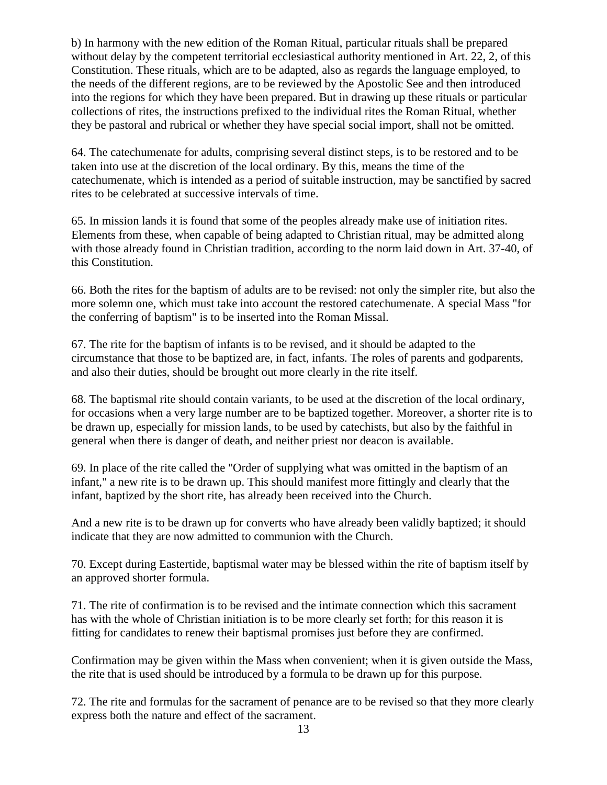b) In harmony with the new edition of the Roman Ritual, particular rituals shall be prepared without delay by the competent territorial ecclesiastical authority mentioned in Art. 22, 2, of this Constitution. These rituals, which are to be adapted, also as regards the language employed, to the needs of the different regions, are to be reviewed by the Apostolic See and then introduced into the regions for which they have been prepared. But in drawing up these rituals or particular collections of rites, the instructions prefixed to the individual rites the Roman Ritual, whether they be pastoral and rubrical or whether they have special social import, shall not be omitted.

64. The catechumenate for adults, comprising several distinct steps, is to be restored and to be taken into use at the discretion of the local ordinary. By this, means the time of the catechumenate, which is intended as a period of suitable instruction, may be sanctified by sacred rites to be celebrated at successive intervals of time.

65. In mission lands it is found that some of the peoples already make use of initiation rites. Elements from these, when capable of being adapted to Christian ritual, may be admitted along with those already found in Christian tradition, according to the norm laid down in Art. 37-40, of this Constitution.

66. Both the rites for the baptism of adults are to be revised: not only the simpler rite, but also the more solemn one, which must take into account the restored catechumenate. A special Mass "for the conferring of baptism" is to be inserted into the Roman Missal.

67. The rite for the baptism of infants is to be revised, and it should be adapted to the circumstance that those to be baptized are, in fact, infants. The roles of parents and godparents, and also their duties, should be brought out more clearly in the rite itself.

68. The baptismal rite should contain variants, to be used at the discretion of the local ordinary, for occasions when a very large number are to be baptized together. Moreover, a shorter rite is to be drawn up, especially for mission lands, to be used by catechists, but also by the faithful in general when there is danger of death, and neither priest nor deacon is available.

69. In place of the rite called the "Order of supplying what was omitted in the baptism of an infant," a new rite is to be drawn up. This should manifest more fittingly and clearly that the infant, baptized by the short rite, has already been received into the Church.

And a new rite is to be drawn up for converts who have already been validly baptized; it should indicate that they are now admitted to communion with the Church.

70. Except during Eastertide, baptismal water may be blessed within the rite of baptism itself by an approved shorter formula.

71. The rite of confirmation is to be revised and the intimate connection which this sacrament has with the whole of Christian initiation is to be more clearly set forth; for this reason it is fitting for candidates to renew their baptismal promises just before they are confirmed.

Confirmation may be given within the Mass when convenient; when it is given outside the Mass, the rite that is used should be introduced by a formula to be drawn up for this purpose.

72. The rite and formulas for the sacrament of penance are to be revised so that they more clearly express both the nature and effect of the sacrament.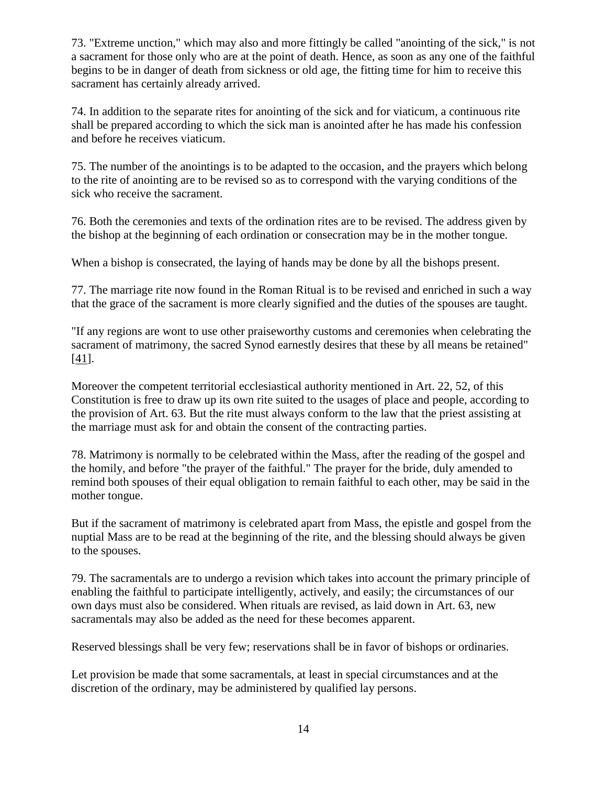73. "Extreme unction," which may also and more fittingly be called "anointing of the sick," is not a sacrament for those only who are at the point of death. Hence, as soon as any one of the faithful begins to be in danger of death from sickness or old age, the fitting time for him to receive this sacrament has certainly already arrived.

74. In addition to the separate rites for anointing of the sick and for viaticum, a continuous rite shall be prepared according to which the sick man is anointed after he has made his confession and before he receives viaticum.

75. The number of the anointings is to be adapted to the occasion, and the prayers which belong to the rite of anointing are to be revised so as to correspond with the varying conditions of the sick who receive the sacrament.

76. Both the ceremonies and texts of the ordination rites are to be revised. The address given by the bishop at the beginning of each ordination or consecration may be in the mother tongue.

When a bishop is consecrated, the laying of hands may be done by all the bishops present.

77. The marriage rite now found in the Roman Ritual is to be revised and enriched in such a way that the grace of the sacrament is more clearly signified and the duties of the spouses are taught.

"If any regions are wont to use other praiseworthy customs and ceremonies when celebrating the sacrament of matrimony, the sacred Synod earnestly desires that these by all means be retained"  $[41]$ .

Moreover the competent territorial ecclesiastical authority mentioned in Art. 22, 52, of this Constitution is free to draw up its own rite suited to the usages of place and people, according to the provision of Art. 63. But the rite must always conform to the law that the priest assisting at the marriage must ask for and obtain the consent of the contracting parties.

78. Matrimony is normally to be celebrated within the Mass, after the reading of the gospel and the homily, and before "the prayer of the faithful." The prayer for the bride, duly amended to remind both spouses of their equal obligation to remain faithful to each other, may be said in the mother tongue.

But if the sacrament of matrimony is celebrated apart from Mass, the epistle and gospel from the nuptial Mass are to be read at the beginning of the rite, and the blessing should always be given to the spouses.

79. The sacramentals are to undergo a revision which takes into account the primary principle of enabling the faithful to participate intelligently, actively, and easily; the circumstances of our own days must also be considered. When rituals are revised, as laid down in Art. 63, new sacramentals may also be added as the need for these becomes apparent.

Reserved blessings shall be very few; reservations shall be in favor of bishops or ordinaries.

Let provision be made that some sacramentals, at least in special circumstances and at the discretion of the ordinary, may be administered by qualified lay persons.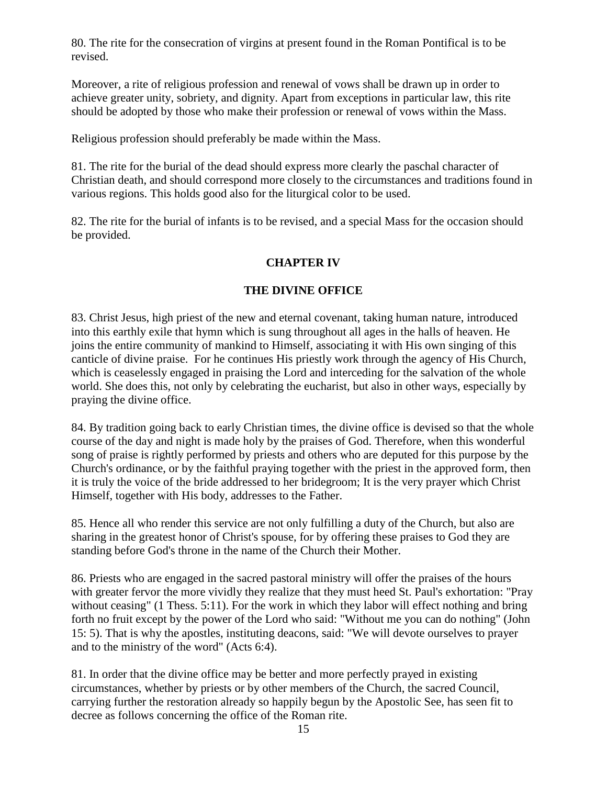80. The rite for the consecration of virgins at present found in the Roman Pontifical is to be revised.

Moreover, a rite of religious profession and renewal of vows shall be drawn up in order to achieve greater unity, sobriety, and dignity. Apart from exceptions in particular law, this rite should be adopted by those who make their profession or renewal of vows within the Mass.

Religious profession should preferably be made within the Mass.

81. The rite for the burial of the dead should express more clearly the paschal character of Christian death, and should correspond more closely to the circumstances and traditions found in various regions. This holds good also for the liturgical color to be used.

82. The rite for the burial of infants is to be revised, and a special Mass for the occasion should be provided.

#### **CHAPTER IV**

#### **THE DIVINE OFFICE**

83. Christ Jesus, high priest of the new and eternal covenant, taking human nature, introduced into this earthly exile that hymn which is sung throughout all ages in the halls of heaven. He joins the entire community of mankind to Himself, associating it with His own singing of this canticle of divine praise. For he continues His priestly work through the agency of His Church, which is ceaselessly engaged in praising the Lord and interceding for the salvation of the whole world. She does this, not only by celebrating the eucharist, but also in other ways, especially by praying the divine office.

84. By tradition going back to early Christian times, the divine office is devised so that the whole course of the day and night is made holy by the praises of God. Therefore, when this wonderful song of praise is rightly performed by priests and others who are deputed for this purpose by the Church's ordinance, or by the faithful praying together with the priest in the approved form, then it is truly the voice of the bride addressed to her bridegroom; It is the very prayer which Christ Himself, together with His body, addresses to the Father.

85. Hence all who render this service are not only fulfilling a duty of the Church, but also are sharing in the greatest honor of Christ's spouse, for by offering these praises to God they are standing before God's throne in the name of the Church their Mother.

86. Priests who are engaged in the sacred pastoral ministry will offer the praises of the hours with greater fervor the more vividly they realize that they must heed St. Paul's exhortation: "Pray without ceasing" (1 Thess. 5:11). For the work in which they labor will effect nothing and bring forth no fruit except by the power of the Lord who said: "Without me you can do nothing" (John 15: 5). That is why the apostles, instituting deacons, said: "We will devote ourselves to prayer and to the ministry of the word" (Acts 6:4).

81. In order that the divine office may be better and more perfectly prayed in existing circumstances, whether by priests or by other members of the Church, the sacred Council, carrying further the restoration already so happily begun by the Apostolic See, has seen fit to decree as follows concerning the office of the Roman rite.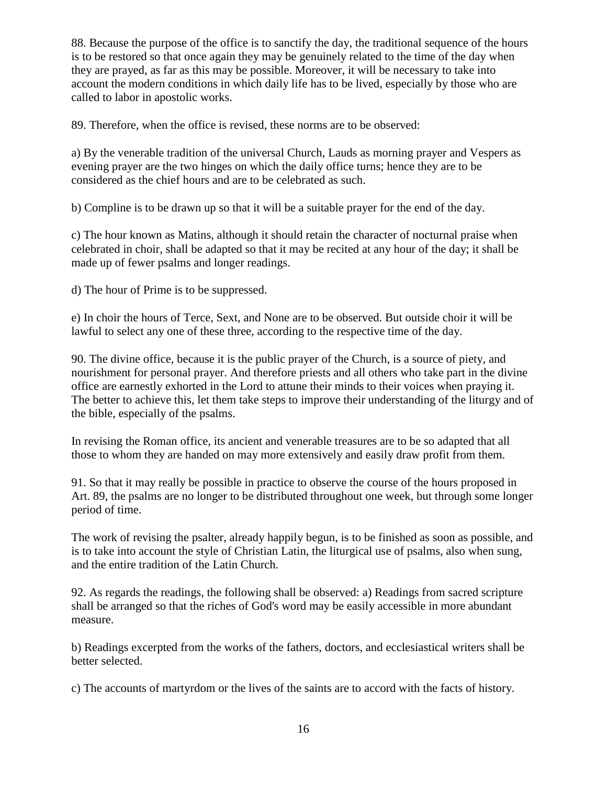88. Because the purpose of the office is to sanctify the day, the traditional sequence of the hours is to be restored so that once again they may be genuinely related to the time of the day when they are prayed, as far as this may be possible. Moreover, it will be necessary to take into account the modern conditions in which daily life has to be lived, especially by those who are called to labor in apostolic works.

89. Therefore, when the office is revised, these norms are to be observed:

a) By the venerable tradition of the universal Church, Lauds as morning prayer and Vespers as evening prayer are the two hinges on which the daily office turns; hence they are to be considered as the chief hours and are to be celebrated as such.

b) Compline is to be drawn up so that it will be a suitable prayer for the end of the day.

c) The hour known as Matins, although it should retain the character of nocturnal praise when celebrated in choir, shall be adapted so that it may be recited at any hour of the day; it shall be made up of fewer psalms and longer readings.

d) The hour of Prime is to be suppressed.

e) In choir the hours of Terce, Sext, and None are to be observed. But outside choir it will be lawful to select any one of these three, according to the respective time of the day.

90. The divine office, because it is the public prayer of the Church, is a source of piety, and nourishment for personal prayer. And therefore priests and all others who take part in the divine office are earnestly exhorted in the Lord to attune their minds to their voices when praying it. The better to achieve this, let them take steps to improve their understanding of the liturgy and of the bible, especially of the psalms.

In revising the Roman office, its ancient and venerable treasures are to be so adapted that all those to whom they are handed on may more extensively and easily draw profit from them.

91. So that it may really be possible in practice to observe the course of the hours proposed in Art. 89, the psalms are no longer to be distributed throughout one week, but through some longer period of time.

The work of revising the psalter, already happily begun, is to be finished as soon as possible, and is to take into account the style of Christian Latin, the liturgical use of psalms, also when sung, and the entire tradition of the Latin Church.

92. As regards the readings, the following shall be observed: a) Readings from sacred scripture shall be arranged so that the riches of God's word may be easily accessible in more abundant measure.

b) Readings excerpted from the works of the fathers, doctors, and ecclesiastical writers shall be better selected.

c) The accounts of martyrdom or the lives of the saints are to accord with the facts of history.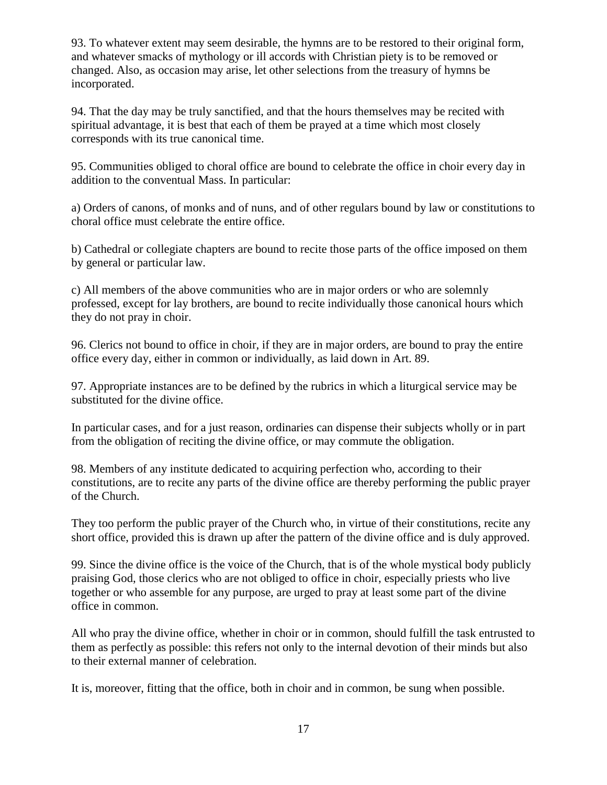93. To whatever extent may seem desirable, the hymns are to be restored to their original form, and whatever smacks of mythology or ill accords with Christian piety is to be removed or changed. Also, as occasion may arise, let other selections from the treasury of hymns be incorporated.

94. That the day may be truly sanctified, and that the hours themselves may be recited with spiritual advantage, it is best that each of them be prayed at a time which most closely corresponds with its true canonical time.

95. Communities obliged to choral office are bound to celebrate the office in choir every day in addition to the conventual Mass. In particular:

a) Orders of canons, of monks and of nuns, and of other regulars bound by law or constitutions to choral office must celebrate the entire office.

b) Cathedral or collegiate chapters are bound to recite those parts of the office imposed on them by general or particular law.

c) All members of the above communities who are in major orders or who are solemnly professed, except for lay brothers, are bound to recite individually those canonical hours which they do not pray in choir.

96. Clerics not bound to office in choir, if they are in major orders, are bound to pray the entire office every day, either in common or individually, as laid down in Art. 89.

97. Appropriate instances are to be defined by the rubrics in which a liturgical service may be substituted for the divine office.

In particular cases, and for a just reason, ordinaries can dispense their subjects wholly or in part from the obligation of reciting the divine office, or may commute the obligation.

98. Members of any institute dedicated to acquiring perfection who, according to their constitutions, are to recite any parts of the divine office are thereby performing the public prayer of the Church.

They too perform the public prayer of the Church who, in virtue of their constitutions, recite any short office, provided this is drawn up after the pattern of the divine office and is duly approved.

99. Since the divine office is the voice of the Church, that is of the whole mystical body publicly praising God, those clerics who are not obliged to office in choir, especially priests who live together or who assemble for any purpose, are urged to pray at least some part of the divine office in common.

All who pray the divine office, whether in choir or in common, should fulfill the task entrusted to them as perfectly as possible: this refers not only to the internal devotion of their minds but also to their external manner of celebration.

It is, moreover, fitting that the office, both in choir and in common, be sung when possible.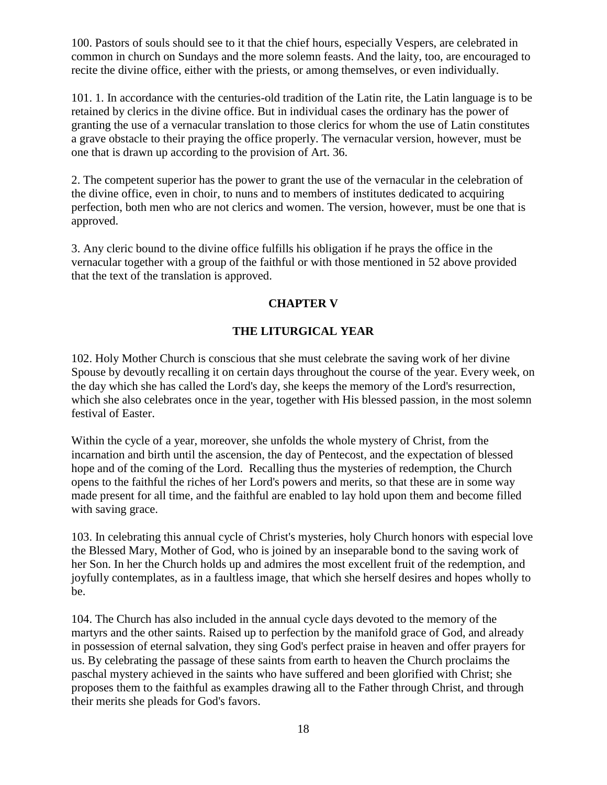100. Pastors of souls should see to it that the chief hours, especially Vespers, are celebrated in common in church on Sundays and the more solemn feasts. And the laity, too, are encouraged to recite the divine office, either with the priests, or among themselves, or even individually.

101. 1. In accordance with the centuries-old tradition of the Latin rite, the Latin language is to be retained by clerics in the divine office. But in individual cases the ordinary has the power of granting the use of a vernacular translation to those clerics for whom the use of Latin constitutes a grave obstacle to their praying the office properly. The vernacular version, however, must be one that is drawn up according to the provision of Art. 36.

2. The competent superior has the power to grant the use of the vernacular in the celebration of the divine office, even in choir, to nuns and to members of institutes dedicated to acquiring perfection, both men who are not clerics and women. The version, however, must be one that is approved.

3. Any cleric bound to the divine office fulfills his obligation if he prays the office in the vernacular together with a group of the faithful or with those mentioned in 52 above provided that the text of the translation is approved.

#### **CHAPTER V**

## **THE LITURGICAL YEAR**

102. Holy Mother Church is conscious that she must celebrate the saving work of her divine Spouse by devoutly recalling it on certain days throughout the course of the year. Every week, on the day which she has called the Lord's day, she keeps the memory of the Lord's resurrection, which she also celebrates once in the year, together with His blessed passion, in the most solemn festival of Easter.

Within the cycle of a year, moreover, she unfolds the whole mystery of Christ, from the incarnation and birth until the ascension, the day of Pentecost, and the expectation of blessed hope and of the coming of the Lord. Recalling thus the mysteries of redemption, the Church opens to the faithful the riches of her Lord's powers and merits, so that these are in some way made present for all time, and the faithful are enabled to lay hold upon them and become filled with saving grace.

103. In celebrating this annual cycle of Christ's mysteries, holy Church honors with especial love the Blessed Mary, Mother of God, who is joined by an inseparable bond to the saving work of her Son. In her the Church holds up and admires the most excellent fruit of the redemption, and joyfully contemplates, as in a faultless image, that which she herself desires and hopes wholly to be.

104. The Church has also included in the annual cycle days devoted to the memory of the martyrs and the other saints. Raised up to perfection by the manifold grace of God, and already in possession of eternal salvation, they sing God's perfect praise in heaven and offer prayers for us. By celebrating the passage of these saints from earth to heaven the Church proclaims the paschal mystery achieved in the saints who have suffered and been glorified with Christ; she proposes them to the faithful as examples drawing all to the Father through Christ, and through their merits she pleads for God's favors.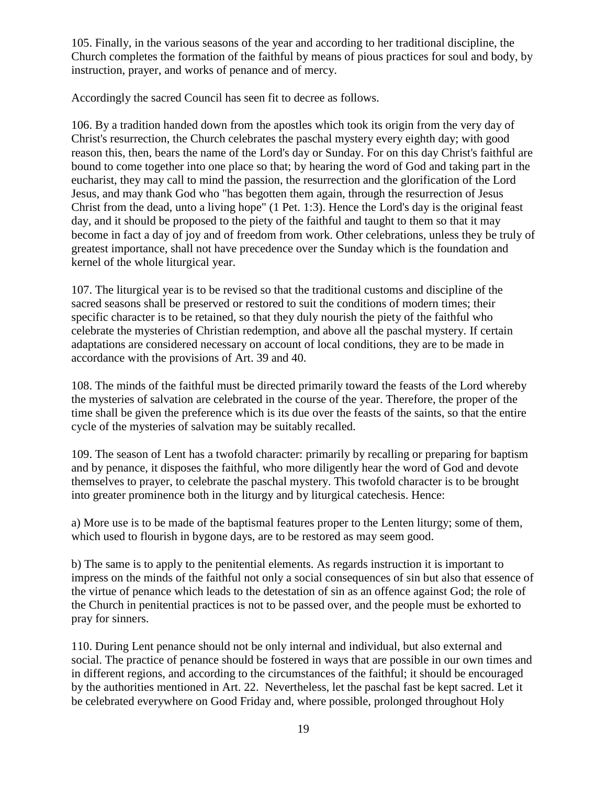105. Finally, in the various seasons of the year and according to her traditional discipline, the Church completes the formation of the faithful by means of pious practices for soul and body, by instruction, prayer, and works of penance and of mercy.

Accordingly the sacred Council has seen fit to decree as follows.

106. By a tradition handed down from the apostles which took its origin from the very day of Christ's resurrection, the Church celebrates the paschal mystery every eighth day; with good reason this, then, bears the name of the Lord's day or Sunday. For on this day Christ's faithful are bound to come together into one place so that; by hearing the word of God and taking part in the eucharist, they may call to mind the passion, the resurrection and the glorification of the Lord Jesus, and may thank God who "has begotten them again, through the resurrection of Jesus Christ from the dead, unto a living hope" (1 Pet. 1:3). Hence the Lord's day is the original feast day, and it should be proposed to the piety of the faithful and taught to them so that it may become in fact a day of joy and of freedom from work. Other celebrations, unless they be truly of greatest importance, shall not have precedence over the Sunday which is the foundation and kernel of the whole liturgical year.

107. The liturgical year is to be revised so that the traditional customs and discipline of the sacred seasons shall be preserved or restored to suit the conditions of modern times; their specific character is to be retained, so that they duly nourish the piety of the faithful who celebrate the mysteries of Christian redemption, and above all the paschal mystery. If certain adaptations are considered necessary on account of local conditions, they are to be made in accordance with the provisions of Art. 39 and 40.

108. The minds of the faithful must be directed primarily toward the feasts of the Lord whereby the mysteries of salvation are celebrated in the course of the year. Therefore, the proper of the time shall be given the preference which is its due over the feasts of the saints, so that the entire cycle of the mysteries of salvation may be suitably recalled.

109. The season of Lent has a twofold character: primarily by recalling or preparing for baptism and by penance, it disposes the faithful, who more diligently hear the word of God and devote themselves to prayer, to celebrate the paschal mystery. This twofold character is to be brought into greater prominence both in the liturgy and by liturgical catechesis. Hence:

a) More use is to be made of the baptismal features proper to the Lenten liturgy; some of them, which used to flourish in bygone days, are to be restored as may seem good.

b) The same is to apply to the penitential elements. As regards instruction it is important to impress on the minds of the faithful not only a social consequences of sin but also that essence of the virtue of penance which leads to the detestation of sin as an offence against God; the role of the Church in penitential practices is not to be passed over, and the people must be exhorted to pray for sinners.

110. During Lent penance should not be only internal and individual, but also external and social. The practice of penance should be fostered in ways that are possible in our own times and in different regions, and according to the circumstances of the faithful; it should be encouraged by the authorities mentioned in Art. 22. Nevertheless, let the paschal fast be kept sacred. Let it be celebrated everywhere on Good Friday and, where possible, prolonged throughout Holy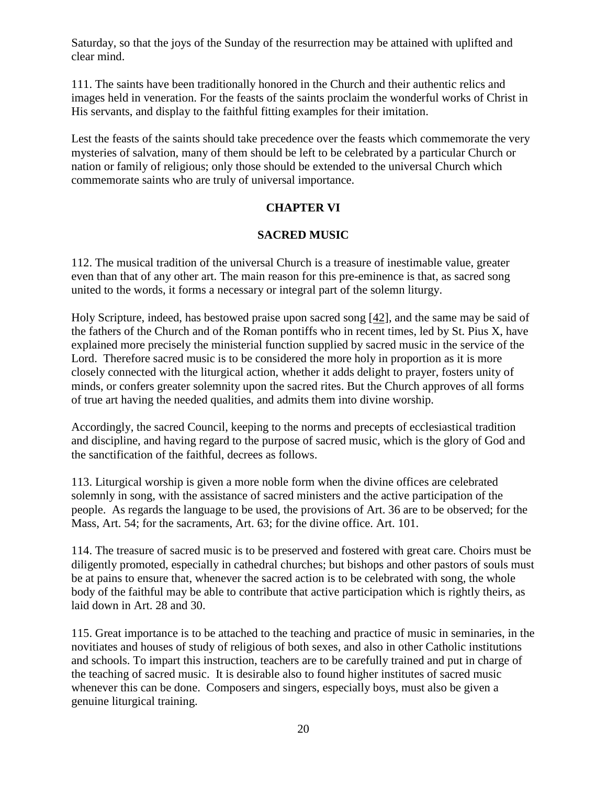Saturday, so that the joys of the Sunday of the resurrection may be attained with uplifted and clear mind.

111. The saints have been traditionally honored in the Church and their authentic relics and images held in veneration. For the feasts of the saints proclaim the wonderful works of Christ in His servants, and display to the faithful fitting examples for their imitation.

Lest the feasts of the saints should take precedence over the feasts which commemorate the very mysteries of salvation, many of them should be left to be celebrated by a particular Church or nation or family of religious; only those should be extended to the universal Church which commemorate saints who are truly of universal importance.

#### **CHAPTER VI**

#### **SACRED MUSIC**

112. The musical tradition of the universal Church is a treasure of inestimable value, greater even than that of any other art. The main reason for this pre-eminence is that, as sacred song united to the words, it forms a necessary or integral part of the solemn liturgy.

Holy Scripture, indeed, has bestowed praise upon sacred song [\[42\]](http://www.vatican.va/archive/hist_councils/ii_vatican_council/documents/vat-ii_const_19631204_sacrosanctum-concilium_en.html#_ftn42), and the same may be said of the fathers of the Church and of the Roman pontiffs who in recent times, led by St. Pius X, have explained more precisely the ministerial function supplied by sacred music in the service of the Lord. Therefore sacred music is to be considered the more holy in proportion as it is more closely connected with the liturgical action, whether it adds delight to prayer, fosters unity of minds, or confers greater solemnity upon the sacred rites. But the Church approves of all forms of true art having the needed qualities, and admits them into divine worship.

Accordingly, the sacred Council, keeping to the norms and precepts of ecclesiastical tradition and discipline, and having regard to the purpose of sacred music, which is the glory of God and the sanctification of the faithful, decrees as follows.

113. Liturgical worship is given a more noble form when the divine offices are celebrated solemnly in song, with the assistance of sacred ministers and the active participation of the people. As regards the language to be used, the provisions of Art. 36 are to be observed; for the Mass, Art. 54; for the sacraments, Art. 63; for the divine office. Art. 101.

114. The treasure of sacred music is to be preserved and fostered with great care. Choirs must be diligently promoted, especially in cathedral churches; but bishops and other pastors of souls must be at pains to ensure that, whenever the sacred action is to be celebrated with song, the whole body of the faithful may be able to contribute that active participation which is rightly theirs, as laid down in Art. 28 and 30.

115. Great importance is to be attached to the teaching and practice of music in seminaries, in the novitiates and houses of study of religious of both sexes, and also in other Catholic institutions and schools. To impart this instruction, teachers are to be carefully trained and put in charge of the teaching of sacred music. It is desirable also to found higher institutes of sacred music whenever this can be done. Composers and singers, especially boys, must also be given a genuine liturgical training.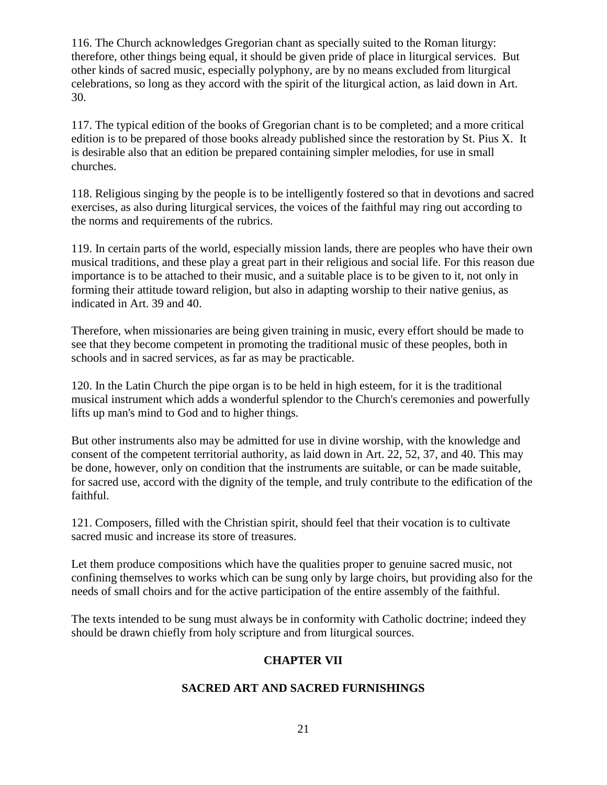116. The Church acknowledges Gregorian chant as specially suited to the Roman liturgy: therefore, other things being equal, it should be given pride of place in liturgical services. But other kinds of sacred music, especially polyphony, are by no means excluded from liturgical celebrations, so long as they accord with the spirit of the liturgical action, as laid down in Art. 30.

117. The typical edition of the books of Gregorian chant is to be completed; and a more critical edition is to be prepared of those books already published since the restoration by St. Pius X. It is desirable also that an edition be prepared containing simpler melodies, for use in small churches.

118. Religious singing by the people is to be intelligently fostered so that in devotions and sacred exercises, as also during liturgical services, the voices of the faithful may ring out according to the norms and requirements of the rubrics.

119. In certain parts of the world, especially mission lands, there are peoples who have their own musical traditions, and these play a great part in their religious and social life. For this reason due importance is to be attached to their music, and a suitable place is to be given to it, not only in forming their attitude toward religion, but also in adapting worship to their native genius, as indicated in Art. 39 and 40.

Therefore, when missionaries are being given training in music, every effort should be made to see that they become competent in promoting the traditional music of these peoples, both in schools and in sacred services, as far as may be practicable.

120. In the Latin Church the pipe organ is to be held in high esteem, for it is the traditional musical instrument which adds a wonderful splendor to the Church's ceremonies and powerfully lifts up man's mind to God and to higher things.

But other instruments also may be admitted for use in divine worship, with the knowledge and consent of the competent territorial authority, as laid down in Art. 22, 52, 37, and 40. This may be done, however, only on condition that the instruments are suitable, or can be made suitable, for sacred use, accord with the dignity of the temple, and truly contribute to the edification of the faithful.

121. Composers, filled with the Christian spirit, should feel that their vocation is to cultivate sacred music and increase its store of treasures.

Let them produce compositions which have the qualities proper to genuine sacred music, not confining themselves to works which can be sung only by large choirs, but providing also for the needs of small choirs and for the active participation of the entire assembly of the faithful.

The texts intended to be sung must always be in conformity with Catholic doctrine; indeed they should be drawn chiefly from holy scripture and from liturgical sources.

#### **CHAPTER VII**

#### **SACRED ART AND SACRED FURNISHINGS**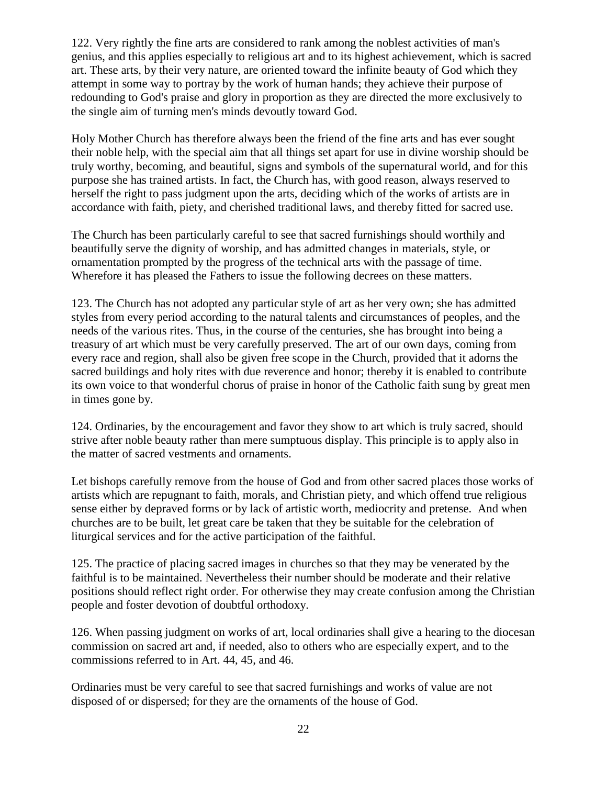122. Very rightly the fine arts are considered to rank among the noblest activities of man's genius, and this applies especially to religious art and to its highest achievement, which is sacred art. These arts, by their very nature, are oriented toward the infinite beauty of God which they attempt in some way to portray by the work of human hands; they achieve their purpose of redounding to God's praise and glory in proportion as they are directed the more exclusively to the single aim of turning men's minds devoutly toward God.

Holy Mother Church has therefore always been the friend of the fine arts and has ever sought their noble help, with the special aim that all things set apart for use in divine worship should be truly worthy, becoming, and beautiful, signs and symbols of the supernatural world, and for this purpose she has trained artists. In fact, the Church has, with good reason, always reserved to herself the right to pass judgment upon the arts, deciding which of the works of artists are in accordance with faith, piety, and cherished traditional laws, and thereby fitted for sacred use.

The Church has been particularly careful to see that sacred furnishings should worthily and beautifully serve the dignity of worship, and has admitted changes in materials, style, or ornamentation prompted by the progress of the technical arts with the passage of time. Wherefore it has pleased the Fathers to issue the following decrees on these matters.

123. The Church has not adopted any particular style of art as her very own; she has admitted styles from every period according to the natural talents and circumstances of peoples, and the needs of the various rites. Thus, in the course of the centuries, she has brought into being a treasury of art which must be very carefully preserved. The art of our own days, coming from every race and region, shall also be given free scope in the Church, provided that it adorns the sacred buildings and holy rites with due reverence and honor; thereby it is enabled to contribute its own voice to that wonderful chorus of praise in honor of the Catholic faith sung by great men in times gone by.

124. Ordinaries, by the encouragement and favor they show to art which is truly sacred, should strive after noble beauty rather than mere sumptuous display. This principle is to apply also in the matter of sacred vestments and ornaments.

Let bishops carefully remove from the house of God and from other sacred places those works of artists which are repugnant to faith, morals, and Christian piety, and which offend true religious sense either by depraved forms or by lack of artistic worth, mediocrity and pretense. And when churches are to be built, let great care be taken that they be suitable for the celebration of liturgical services and for the active participation of the faithful.

125. The practice of placing sacred images in churches so that they may be venerated by the faithful is to be maintained. Nevertheless their number should be moderate and their relative positions should reflect right order. For otherwise they may create confusion among the Christian people and foster devotion of doubtful orthodoxy.

126. When passing judgment on works of art, local ordinaries shall give a hearing to the diocesan commission on sacred art and, if needed, also to others who are especially expert, and to the commissions referred to in Art. 44, 45, and 46.

Ordinaries must be very careful to see that sacred furnishings and works of value are not disposed of or dispersed; for they are the ornaments of the house of God.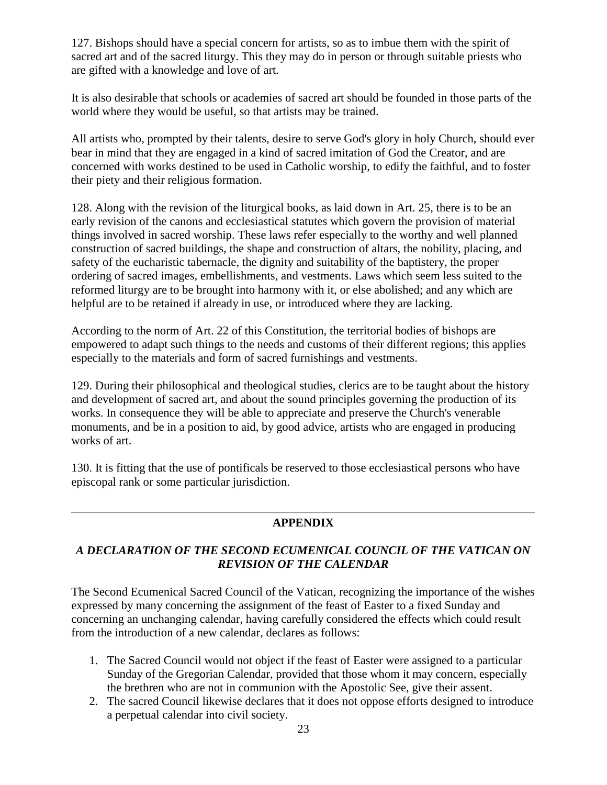127. Bishops should have a special concern for artists, so as to imbue them with the spirit of sacred art and of the sacred liturgy. This they may do in person or through suitable priests who are gifted with a knowledge and love of art.

It is also desirable that schools or academies of sacred art should be founded in those parts of the world where they would be useful, so that artists may be trained.

All artists who, prompted by their talents, desire to serve God's glory in holy Church, should ever bear in mind that they are engaged in a kind of sacred imitation of God the Creator, and are concerned with works destined to be used in Catholic worship, to edify the faithful, and to foster their piety and their religious formation.

128. Along with the revision of the liturgical books, as laid down in Art. 25, there is to be an early revision of the canons and ecclesiastical statutes which govern the provision of material things involved in sacred worship. These laws refer especially to the worthy and well planned construction of sacred buildings, the shape and construction of altars, the nobility, placing, and safety of the eucharistic tabernacle, the dignity and suitability of the baptistery, the proper ordering of sacred images, embellishments, and vestments. Laws which seem less suited to the reformed liturgy are to be brought into harmony with it, or else abolished; and any which are helpful are to be retained if already in use, or introduced where they are lacking.

According to the norm of Art. 22 of this Constitution, the territorial bodies of bishops are empowered to adapt such things to the needs and customs of their different regions; this applies especially to the materials and form of sacred furnishings and vestments.

129. During their philosophical and theological studies, clerics are to be taught about the history and development of sacred art, and about the sound principles governing the production of its works. In consequence they will be able to appreciate and preserve the Church's venerable monuments, and be in a position to aid, by good advice, artists who are engaged in producing works of art.

130. It is fitting that the use of pontificals be reserved to those ecclesiastical persons who have episcopal rank or some particular jurisdiction.

# **APPENDIX**

## *A DECLARATION OF THE SECOND ECUMENICAL COUNCIL OF THE VATICAN ON REVISION OF THE CALENDAR*

The Second Ecumenical Sacred Council of the Vatican, recognizing the importance of the wishes expressed by many concerning the assignment of the feast of Easter to a fixed Sunday and concerning an unchanging calendar, having carefully considered the effects which could result from the introduction of a new calendar, declares as follows:

- 1. The Sacred Council would not object if the feast of Easter were assigned to a particular Sunday of the Gregorian Calendar, provided that those whom it may concern, especially the brethren who are not in communion with the Apostolic See, give their assent.
- 2. The sacred Council likewise declares that it does not oppose efforts designed to introduce a perpetual calendar into civil society.